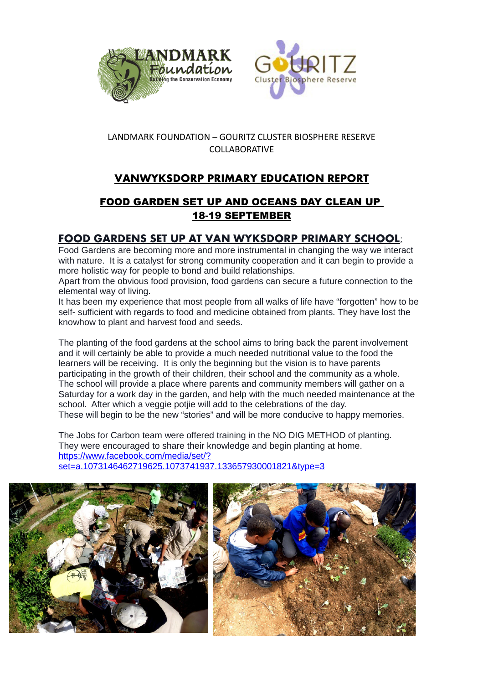



#### LANDMARK FOUNDATION – GOURITZ CLUSTER BIOSPHERE RESERVE COLLABORATIVE

# **VANWYKSDORP PRIMARY EDUCATION REPORT**

## FOOD GARDEN SET UP AND OCEANS DAY CLEAN UP 18-19 SEPTEMBER

### **FOOD GARDENS SET UP AT VAN WYKSDORP PRIMARY SCHOOL**:

Food Gardens are becoming more and more instrumental in changing the way we interact with nature. It is a catalyst for strong community cooperation and it can begin to provide a more holistic way for people to bond and build relationships.

Apart from the obvious food provision, food gardens can secure a future connection to the elemental way of living.

It has been my experience that most people from all walks of life have "forgotten" how to be self- sufficient with regards to food and medicine obtained from plants. They have lost the knowhow to plant and harvest food and seeds.

The planting of the food gardens at the school aims to bring back the parent involvement and it will certainly be able to provide a much needed nutritional value to the food the learners will be receiving. It is only the beginning but the vision is to have parents participating in the growth of their children, their school and the community as a whole. The school will provide a place where parents and community members will gather on a Saturday for a work day in the garden, and help with the much needed maintenance at the school. After which a veggie potije will add to the celebrations of the day. These will begin to be the new "stories" and will be more conducive to happy memories.

The Jobs for Carbon team were offered training in the NO DIG METHOD of planting. They were encouraged to share their knowledge and begin planting at home. [https://www.facebook.com/media/set/?](https://www.facebook.com/media/set/?set=a.1073146462719625.1073741937.133657930001821&type=3) [set=a.1073146462719625.1073741937.133657930001821&type=3](https://www.facebook.com/media/set/?set=a.1073146462719625.1073741937.133657930001821&type=3)